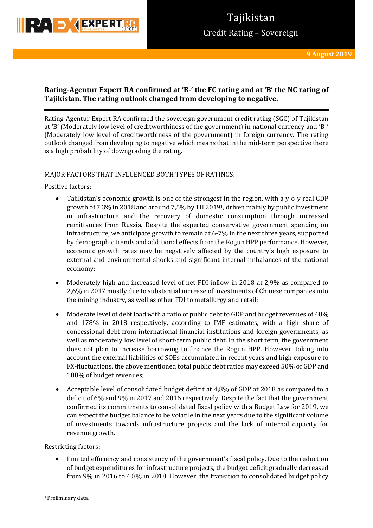

# **Tajikistan** Credit Rating – Sovereign

# **Rating-Agentur Expert RA confirmed at 'B-' the FC rating and at 'B' the NC rating of Tajikistan. The rating outlook changed from developing to negative.**

Rating-Agentur Expert RA confirmed the sovereign government credit rating (SGC) of Tajikistan at 'B' (Moderately low level of creditworthiness of the government) in national currency and 'B-' (Moderately low level of creditworthiness of the government) in foreign currency. The rating outlook changed from developing to negative which means that in the mid-term perspective there is a high probability of downgrading the rating.

### MAJOR FACTORS THAT INFLUENCED BOTH TYPES OF RATINGS:

Positive factors:

- Tajikistan's economic growth is one of the strongest in the region, with a y-o-y real GDP growth of 7,3% in 2018 and around 7,5% by 1H 20191, driven mainly by public investment in infrastructure and the recovery of domestic consumption through increased remittances from Russia. Despite the expected conservative government spending on infrastructure, we anticipate growth to remain at 6-7% in the next three years, supported by demographic trends and additional effects from the Rogun HPP performance. However, economic growth rates may be negatively affected by the country's high exposure to external and environmental shocks and significant internal imbalances of the national economy;
- Moderately high and increased level of net FDI inflow in 2018 at 2,9% as compared to 2,6% in 2017 mostly due to substantial increase of investments of Chinese companies into the mining industry, as well as other FDI to metallurgy and retail;
- Moderate level of debt load with a ratio of public debt to GDP and budget revenues of 48% and 178% in 2018 respectively, according to IMF estimates, with a high share of concessional debt from international financial institutions and foreign governments, as well as moderately low level of short-term public debt. In the short term, the government does not plan to increase borrowing to finance the Rogun HPP. However, taking into account the external liabilities of SOEs accumulated in recent years and high exposure to FX-fluctuations, the above mentioned total public debt ratios may exceed 50% of GDP and 180% of budget revenues;
- Acceptable level of consolidated budget deficit at 4,8% of GDP at 2018 as compared to a deficit of 6% and 9% in 2017 and 2016 respectively. Despite the fact that the government confirmed its commitments to consolidated fiscal policy with a Budget Law for 2019, we can expect the budget balance to be volatile in the next years due to the significant volume of investments towards infrastructure projects and the lack of internal capacity for revenue growth.

Restricting factors:

 Limited efficiency and consistency of the government's fiscal policy. Due to the reduction of budget expenditures for infrastructure projects, the budget deficit gradually decreased from 9% in 2016 to 4,8% in 2018. However, the transition to consolidated budget policy

**.** 

<sup>1</sup> Preliminary data.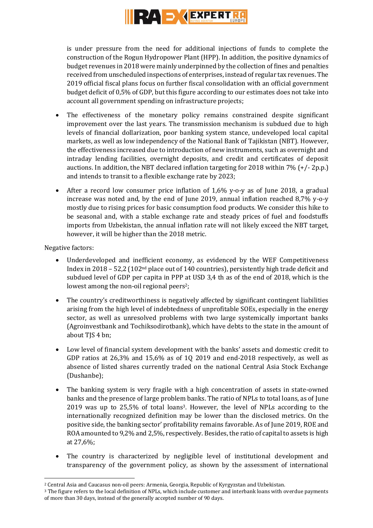

is under pressure from the need for additional injections of funds to complete the construction of the Rogun Hydropower Plant (HPP). In addition, the positive dynamics of budget revenues in 2018 were mainly underpinned by the collection of fines and penalties received from unscheduled inspections of enterprises, instead of regular tax revenues. The 2019 official fiscal plans focus on further fiscal consolidation with an official government budget deficit of 0,5% of GDP, but this figure according to our estimates does not take into account all government spending on infrastructure projects;

- The effectiveness of the monetary policy remains constrained despite significant improvement over the last years. The transmission mechanism is subdued due to high levels of financial dollarization, poor banking system stance, undeveloped local capital markets, as well as low independency of the National Bank of Tajikistan (NBT). However, the effectiveness increased due to introduction of new instruments, such as overnight and intraday lending facilities, overnight deposits, and credit and certificates of deposit auctions. In addition, the NBT declared inflation targeting for 2018 within 7% (+/- 2p.p.) and intends to transit to a flexible exchange rate by 2023;
- After a record low consumer price inflation of 1,6% y-o-y as of June 2018, a gradual increase was noted and, by the end of June 2019, annual inflation reached 8,7% y-o-y mostly due to rising prices for basic consumption food products. We consider this hike to be seasonal and, with a stable exchange rate and steady prices of fuel and foodstuffs imports from Uzbekistan, the annual inflation rate will not likely exceed the NBT target, however, it will be higher than the 2018 metric.

Negative factors:

- Underdeveloped and inefficient economy, as evidenced by the WEF Competitiveness Index in 2018 – 52,2 (102nd place out of 140 countries), persistently high trade deficit and subdued level of GDP per capita in PPP at USD 3,4 th as of the end of 2018, which is the lowest among the non-oil regional peers<sup>2</sup>;
- The country's creditworthiness is negatively affected by significant contingent liabilities arising from the high level of indebtedness of unprofitable SOEs, especially in the energy sector, as well as unresolved problems with two large systemically important banks (Agroinvestbank and Tochiksodirotbank), which have debts to the state in the amount of about TJS 4 bn;
- Low level of financial system development with the banks' assets and domestic credit to GDP ratios at  $26,3\%$  and  $15,6\%$  as of 10 2019 and end-2018 respectively, as well as absence of listed shares currently traded on the national Central Asia Stock Exchange (Dushanbe);
- The banking system is very fragile with a high concentration of assets in state-owned banks and the presence of large problem banks. The ratio of NPLs to total loans, as of June 2019 was up to 25,5% of total loans3. However, the level of NPLs according to the internationally recognized definition may be lower than the disclosed metrics. On the positive side, the banking sector' profitability remains favorable. As of June 2019, ROE and ROA amounted to 9,2% and 2,5%, respectively. Besides, the ratio of capital to assets is high at 27,6%;
- The country is characterized by negligible level of institutional development and transparency of the government policy, as shown by the assessment of international

**<sup>.</sup>** <sup>2</sup> Central Asia and Caucasus non-oil peers: Armenia, Georgia, Republic of Kyrgyzstan and Uzbekistan.

<sup>3</sup> The figure refers to the local definition of NPLs, which include customer and interbank loans with overdue payments of more than 30 days, instead of the generally accepted number of 90 days.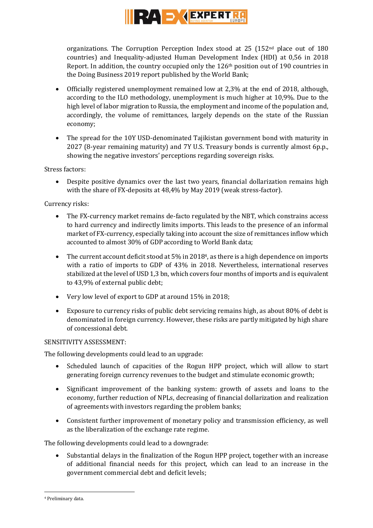

organizations. The Corruption Perception Index stood at 25 (152nd place out of 180 countries) and Inequality-adjusted Human Development Index (HDI) at 0,56 in 2018 Report. In addition, the country occupied only the  $126<sup>th</sup>$  position out of 190 countries in the Doing Business 2019 report published by the World Bank;

- Officially registered unemployment remained low at 2,3% at the end of 2018, although, according to the ILO methodology, unemployment is much higher at 10,9%. Due to the high level of labor migration to Russia, the employment and income of the population and, accordingly, the volume of remittances, largely depends on the state of the Russian economy;
- The spread for the 10Y USD-denominated Tajikistan government bond with maturity in 2027 (8-year remaining maturity) and 7Y U.S. Treasury bonds is currently almost 6p.p., showing the negative investors' perceptions regarding sovereign risks.

Stress factors:

 Despite positive dynamics over the last two years, financial dollarization remains high with the share of FX-deposits at 48,4% by May 2019 (weak stress-factor).

### Currency risks:

- The FX-currency market remains de-facto regulated by the NBT, which constrains access to hard currency and indirectly limits imports. This leads to the presence of an informal market of FX-currency, especially taking into account the size of remittances inflow which accounted to almost 30% of GDP according to World Bank data;
- $\bullet$  The current account deficit stood at 5% in 2018<sup>4</sup>, as there is a high dependence on imports with a ratio of imports to GDP of 43% in 2018. Nevertheless, international reserves stabilized at the level of USD 1,3 bn, which covers four months of imports and is equivalent to 43,9% of external public debt;
- Very low level of export to GDP at around 15% in 2018;
- Exposure to currency risks of public debt servicing remains high, as about 80% of debt is denominated in foreign currency. However, these risks are partly mitigated by high share of concessional debt.

# SENSITIVITY ASSESSMENT:

The following developments could lead to an upgrade:

- Scheduled launch of capacities of the Rogun HPP project, which will allow to start generating foreign currency revenues to the budget and stimulate economic growth;
- Significant improvement of the banking system: growth of assets and loans to the economy, further reduction of NPLs, decreasing of financial dollarization and realization of agreements with investors regarding the problem banks;
- Consistent further improvement of monetary policy and transmission efficiency, as well as the liberalization of the exchange rate regime.

The following developments could lead to a downgrade:

 Substantial delays in the finalization of the Rogun HPP project, together with an increase of additional financial needs for this project, which can lead to an increase in the government commercial debt and deficit levels;

**.** 

<sup>4</sup> Preliminary data.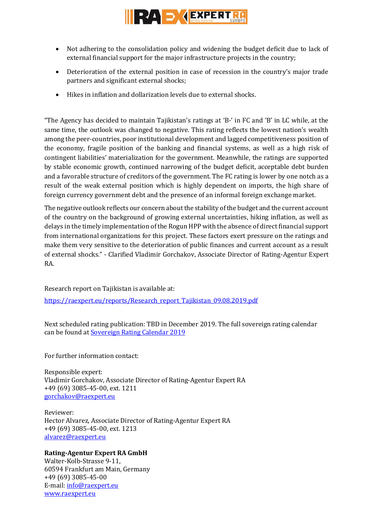

- Not adhering to the consolidation policy and widening the budget deficit due to lack of external financial support for the major infrastructure projects in the country;
- Deterioration of the external position in case of recession in the country's major trade partners and significant external shocks;
- Hikes in inflation and dollarization levels due to external shocks.

"The Agency has decided to maintain Tajikistan's ratings at 'B-' in FC and 'B' in LC while, at the same time, the outlook was changed to negative. This rating reflects the lowest nation's wealth among the peer-countries, poor institutional development and lagged competitiveness position of the economy, fragile position of the banking and financial systems, as well as a high risk of contingent liabilities' materialization for the government. Meanwhile, the ratings are supported by stable economic growth, continued narrowing of the budget deficit, acceptable debt burden and a favorable structure of creditors of the government. The FC rating is lower by one notch as a result of the weak external position which is highly dependent on imports, the high share of foreign currency government debt and the presence of an informal foreign exchange market.

The negative outlook reflects our concern about the stability of the budget and the current account of the country on the background of growing external uncertainties, hiking inflation, as well as delays in the timely implementation of the Rogun HPP with the absence of direct financial support from international organizations for this project. These factors exert pressure on the ratings and make them very sensitive to the deterioration of public finances and current account as a result of external shocks." - Clarified Vladimir Gorchakov, Associate Director of Rating-Agentur Expert RA.

Research report on Tajikistan is available at:

[https://raexpert.eu/reports/Research\\_report\\_Tajikistan\\_09.08.2019.pdf](https://raexpert.eu/reports/Research_report_Tajikistan_09.08.2019.pdf)

Next scheduled rating publication: TBD in December 2019. The full sovereign rating calendar can be found at [Sovereign Rating Calendar 2019](https://raexpert.eu/sovereign/#conf-tab-5)

For further information contact:

Responsible expert: Vladimir Gorchakov, Associate Director of Rating-Agentur Expert RA +49 (69) 3085-45-00, ext. 1211 [gorchakov@raexpert.eu](mailto:gorchakov@raexpert.eu)

Reviewer: Hector Alvarez, Associate Director of Rating-Agentur Expert RA +49 (69) 3085-45-00, ext. 1213 [alvarez@raexpert.eu](mailto:alvarez@raexpert.eu)

# **Rating-Agentur Expert RA GmbH**

Walter-Kolb-Strasse 9-11, 60594 Frankfurt am Main, Germany +49 (69) 3085-45-00 E-mail[: info@raexpert.eu](mailto:info@raexpert.eu) [www.raexpert.eu](http://raexpert.eu/)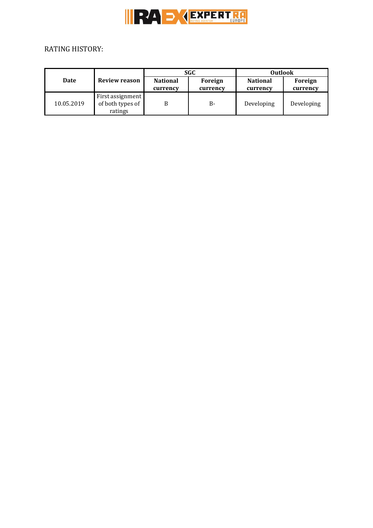

# RATING HISTORY:

| Date       | Review reason                                   | SGC                         |                     | <b>Outlook</b>              |                     |
|------------|-------------------------------------------------|-----------------------------|---------------------|-----------------------------|---------------------|
|            |                                                 | <b>National</b><br>currency | Foreign<br>currency | <b>National</b><br>currency | Foreign<br>currency |
| 10.05.2019 | First assignment<br>of both types of<br>ratings |                             | B-                  | Developing                  | Developing          |